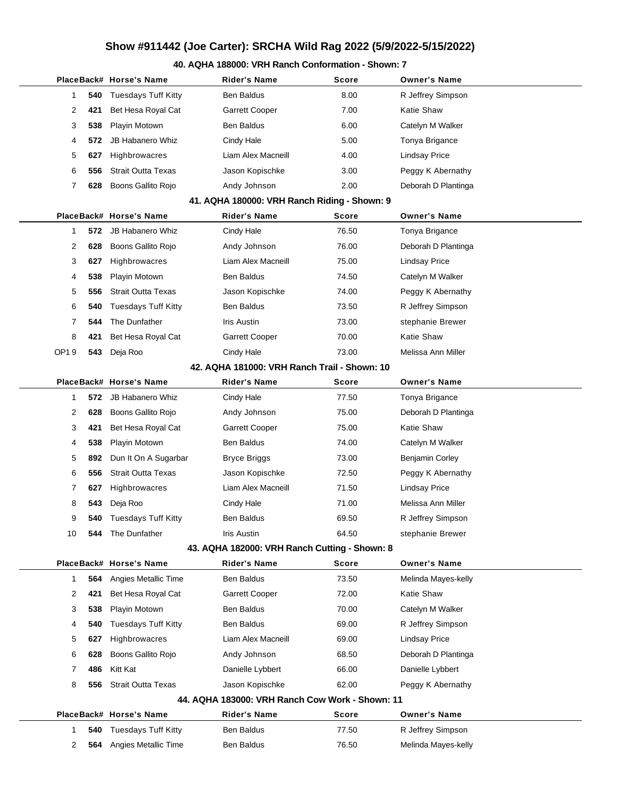# **Show #911442 (Joe Carter): SRCHA Wild Rag 2022 (5/9/2022-5/15/2022)**

#### **40. AQHA 188000: VRH Ranch Conformation - Shown: 7**

|                                              |     | PlaceBack# Horse's Name    | <b>Rider's Name</b>                             | Score        | Owner's Name           |  |  |  |
|----------------------------------------------|-----|----------------------------|-------------------------------------------------|--------------|------------------------|--|--|--|
| 1                                            | 540 | <b>Tuesdays Tuff Kitty</b> | Ben Baldus                                      | 8.00         | R Jeffrey Simpson      |  |  |  |
| 2                                            | 421 | Bet Hesa Royal Cat         | <b>Garrett Cooper</b>                           | 7.00         | Katie Shaw             |  |  |  |
| 3                                            | 538 | Playin Motown              | <b>Ben Baldus</b>                               | 6.00         | Catelyn M Walker       |  |  |  |
| 4                                            | 572 | <b>JB Habanero Whiz</b>    | Cindy Hale                                      | 5.00         | Tonya Brigance         |  |  |  |
| 5                                            | 627 | Highbrowacres              | Liam Alex Macneill                              | 4.00         | <b>Lindsay Price</b>   |  |  |  |
| 6                                            | 556 | <b>Strait Outta Texas</b>  | Jason Kopischke                                 | 3.00         | Peggy K Abernathy      |  |  |  |
| 7                                            | 628 | Boons Gallito Rojo         | Andy Johnson                                    | 2.00         | Deborah D Plantinga    |  |  |  |
|                                              |     |                            | 41. AQHA 180000: VRH Ranch Riding - Shown: 9    |              |                        |  |  |  |
|                                              |     | PlaceBack# Horse's Name    | <b>Rider's Name</b>                             | <b>Score</b> | <b>Owner's Name</b>    |  |  |  |
| 1                                            | 572 | <b>JB Habanero Whiz</b>    | Cindy Hale                                      | 76.50        | Tonya Brigance         |  |  |  |
| 2                                            | 628 | Boons Gallito Rojo         | Andy Johnson                                    | 76.00        | Deborah D Plantinga    |  |  |  |
| 3                                            | 627 | Highbrowacres              | Liam Alex Macneill                              | 75.00        | Lindsay Price          |  |  |  |
| 4                                            | 538 | Playin Motown              | Ben Baldus                                      | 74.50        | Catelyn M Walker       |  |  |  |
| 5                                            | 556 | <b>Strait Outta Texas</b>  | Jason Kopischke                                 | 74.00        | Peggy K Abernathy      |  |  |  |
| 6                                            | 540 | <b>Tuesdays Tuff Kitty</b> | <b>Ben Baldus</b>                               | 73.50        | R Jeffrey Simpson      |  |  |  |
| 7                                            | 544 | The Dunfather              | Iris Austin                                     | 73.00        | stephanie Brewer       |  |  |  |
| 8                                            | 421 | Bet Hesa Royal Cat         | Garrett Cooper                                  | 70.00        | Katie Shaw             |  |  |  |
| OP19                                         | 543 | Deja Roo                   | Cindy Hale                                      | 73.00        | Melissa Ann Miller     |  |  |  |
| 42. AQHA 181000: VRH Ranch Trail - Shown: 10 |     |                            |                                                 |              |                        |  |  |  |
|                                              |     | PlaceBack# Horse's Name    | <b>Rider's Name</b>                             | Score        | <b>Owner's Name</b>    |  |  |  |
| 1                                            | 572 | <b>JB Habanero Whiz</b>    | Cindy Hale                                      | 77.50        | Tonya Brigance         |  |  |  |
| 2                                            | 628 | Boons Gallito Rojo         | Andy Johnson                                    | 75.00        | Deborah D Plantinga    |  |  |  |
| 3                                            | 421 | Bet Hesa Royal Cat         | Garrett Cooper                                  | 75.00        | Katie Shaw             |  |  |  |
| 4                                            | 538 | Playin Motown              | <b>Ben Baldus</b>                               | 74.00        | Catelyn M Walker       |  |  |  |
| 5                                            | 892 | Dun It On A Sugarbar       | <b>Bryce Briggs</b>                             | 73.00        | <b>Benjamin Corley</b> |  |  |  |
| 6                                            | 556 | <b>Strait Outta Texas</b>  | Jason Kopischke                                 | 72.50        | Peggy K Abernathy      |  |  |  |
| 7                                            | 627 | Highbrowacres              | Liam Alex Macneill                              | 71.50        | <b>Lindsay Price</b>   |  |  |  |
| 8                                            | 543 | Deja Roo                   | Cindy Hale                                      | 71.00        | Melissa Ann Miller     |  |  |  |
| 9                                            | 540 | <b>Tuesdays Tuff Kitty</b> | Ben Baldus                                      | 69.50        | R Jeffrey Simpson      |  |  |  |
| 10                                           | 544 | The Dunfather              | <b>Iris Austin</b>                              | 64.50        | stephanie Brewer       |  |  |  |
|                                              |     |                            | 43. AQHA 182000: VRH Ranch Cutting - Shown: 8   |              |                        |  |  |  |
|                                              |     | PlaceBack# Horse's Name    | <b>Rider's Name</b>                             | Score        | <b>Owner's Name</b>    |  |  |  |
| 1                                            | 564 | Angies Metallic Time       | Ben Baldus                                      | 73.50        | Melinda Mayes-kelly    |  |  |  |
| 2                                            | 421 | Bet Hesa Royal Cat         | Garrett Cooper                                  | 72.00        | Katie Shaw             |  |  |  |
| 3                                            | 538 | Playin Motown              | Ben Baldus                                      | 70.00        | Catelyn M Walker       |  |  |  |
| 4                                            | 540 | <b>Tuesdays Tuff Kitty</b> | Ben Baldus                                      | 69.00        | R Jeffrey Simpson      |  |  |  |
| 5                                            | 627 | Highbrowacres              | Liam Alex Macneill                              | 69.00        | <b>Lindsay Price</b>   |  |  |  |
| 6                                            | 628 | Boons Gallito Rojo         | Andy Johnson                                    | 68.50        | Deborah D Plantinga    |  |  |  |
| 7                                            | 486 | Kitt Kat                   | Danielle Lybbert                                | 66.00        | Danielle Lybbert       |  |  |  |
| 8                                            | 556 | <b>Strait Outta Texas</b>  | Jason Kopischke                                 | 62.00        | Peggy K Abernathy      |  |  |  |
|                                              |     |                            | 44. AQHA 183000: VRH Ranch Cow Work - Shown: 11 |              |                        |  |  |  |
|                                              |     | PlaceBack# Horse's Name    | <b>Rider's Name</b>                             | Score        | <b>Owner's Name</b>    |  |  |  |
| 1                                            | 540 | <b>Tuesdays Tuff Kitty</b> | Ben Baldus                                      | 77.50        | R Jeffrey Simpson      |  |  |  |
| 2                                            | 564 | Angies Metallic Time       | Ben Baldus                                      | 76.50        | Melinda Mayes-kelly    |  |  |  |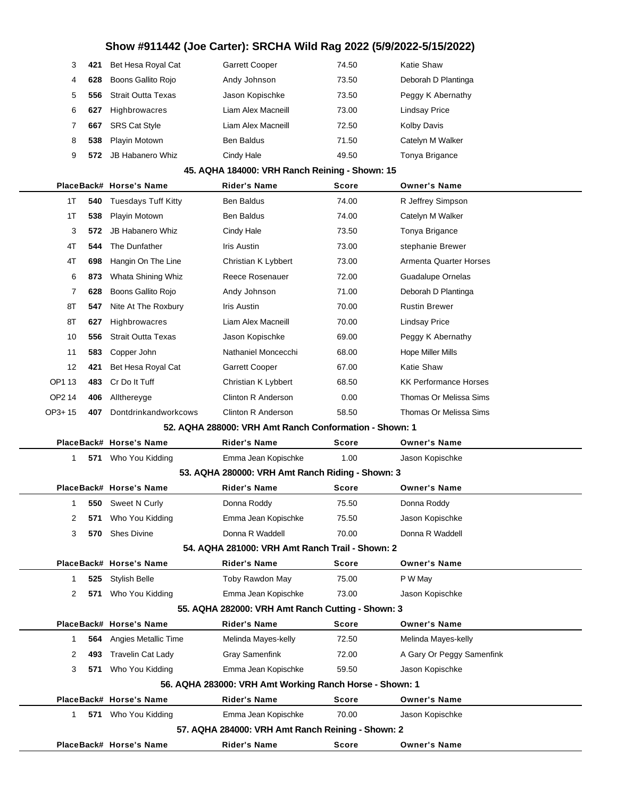# **Show #911442 (Joe Carter): SRCHA Wild Rag 2022 (5/9/2022-5/15/2022)**

| 3 | 421 | Bet Hesa Royal Cat        | <b>Garrett Cooper</b> | 74.50 | Katie Shaw           |
|---|-----|---------------------------|-----------------------|-------|----------------------|
| 4 | 628 | Boons Gallito Rojo        | Andy Johnson          | 73.50 | Deborah D Plantinga  |
| 5 | 556 | <b>Strait Outta Texas</b> | Jason Kopischke       | 73.50 | Peggy K Abernathy    |
| 6 | 627 | Highbrowacres             | Liam Alex Macneill    | 73.00 | <b>Lindsay Price</b> |
|   | 667 | <b>SRS Cat Style</b>      | Liam Alex Macneill    | 72.50 | Kolby Davis          |
| 8 | 538 | Playin Motown             | <b>Ben Baldus</b>     | 71.50 | Catelyn M Walker     |
| 9 | 572 | JB Habanero Whiz          | Cindy Hale            | 49.50 | Tonya Brigance       |

#### **45. AQHA 184000: VRH Ranch Reining - Shown: 15**

|                                                        |     | PlaceBack# Horse's Name         | <b>Rider's Name</b>                                     | Score        | <b>Owner's Name</b>           |  |  |
|--------------------------------------------------------|-----|---------------------------------|---------------------------------------------------------|--------------|-------------------------------|--|--|
| 1T                                                     | 540 | <b>Tuesdays Tuff Kitty</b>      | <b>Ben Baldus</b>                                       | 74.00        | R Jeffrey Simpson             |  |  |
| 1T                                                     | 538 | Playin Motown                   | Ben Baldus                                              | 74.00        | Catelyn M Walker              |  |  |
| 3                                                      | 572 | <b>JB Habanero Whiz</b>         | Cindy Hale                                              | 73.50        | Tonya Brigance                |  |  |
| 4T                                                     | 544 | The Dunfather                   | Iris Austin                                             | 73.00        | stephanie Brewer              |  |  |
| 4T                                                     | 698 | Hangin On The Line              | Christian K Lybbert                                     | 73.00        | <b>Armenta Quarter Horses</b> |  |  |
| 6                                                      | 873 | Whata Shining Whiz              | Reece Rosenauer                                         | 72.00        | Guadalupe Ornelas             |  |  |
| 7                                                      | 628 | Boons Gallito Rojo              | Andy Johnson                                            | 71.00        | Deborah D Plantinga           |  |  |
| 8T                                                     | 547 | Nite At The Roxbury             | Iris Austin                                             | 70.00        | <b>Rustin Brewer</b>          |  |  |
| 8T                                                     | 627 | Highbrowacres                   | Liam Alex Macneill                                      | 70.00        | <b>Lindsay Price</b>          |  |  |
| 10                                                     | 556 | <b>Strait Outta Texas</b>       | Jason Kopischke                                         | 69.00        | Peggy K Abernathy             |  |  |
| 11                                                     | 583 | Copper John                     | Nathaniel Moncecchi                                     | 68.00        | <b>Hope Miller Mills</b>      |  |  |
| 12                                                     | 421 | Bet Hesa Royal Cat              | Garrett Cooper                                          | 67.00        | Katie Shaw                    |  |  |
| OP1 13                                                 | 483 | Cr Do It Tuff                   | Christian K Lybbert                                     | 68.50        | <b>KK Performance Horses</b>  |  |  |
| OP2 14                                                 | 406 | Allthereyge                     | <b>Clinton R Anderson</b>                               | 0.00         | Thomas Or Melissa Sims        |  |  |
| OP3+15                                                 | 407 | Dontdrinkandworkcows            | Clinton R Anderson                                      | 58.50        | Thomas Or Melissa Sims        |  |  |
| 52. AQHA 288000: VRH Amt Ranch Conformation - Shown: 1 |     |                                 |                                                         |              |                               |  |  |
|                                                        |     | PlaceBack# Horse's Name         | <b>Rider's Name</b>                                     | <b>Score</b> | <b>Owner's Name</b>           |  |  |
| 1                                                      |     | 571 Who You Kidding             | Emma Jean Kopischke                                     | 1.00         | Jason Kopischke               |  |  |
|                                                        |     |                                 | 53. AQHA 280000: VRH Amt Ranch Riding - Shown: 3        |              |                               |  |  |
|                                                        |     | PlaceBack# Horse's Name         | Rider's Name                                            | Score        | <b>Owner's Name</b>           |  |  |
| 1                                                      | 550 | Sweet N Curly                   | Donna Roddy                                             | 75.50        | Donna Roddy                   |  |  |
| 2                                                      | 571 | Who You Kidding                 | Emma Jean Kopischke                                     | 75.50        | Jason Kopischke               |  |  |
| 3                                                      | 570 | <b>Shes Divine</b>              | Donna R Waddell                                         | 70.00        | Donna R Waddell               |  |  |
|                                                        |     |                                 | 54, AQHA 281000: VRH Amt Ranch Trail - Shown: 2         |              |                               |  |  |
|                                                        |     | PlaceBack# Horse's Name         | <b>Rider's Name</b>                                     | <b>Score</b> | <b>Owner's Name</b>           |  |  |
| 1                                                      | 525 | <b>Stylish Belle</b>            | Toby Rawdon May                                         | 75.00        | P W May                       |  |  |
| 2                                                      | 571 | Who You Kidding                 | Emma Jean Kopischke                                     | 73.00        | Jason Kopischke               |  |  |
|                                                        |     |                                 | 55. AQHA 282000: VRH Amt Ranch Cutting - Shown: 3       |              |                               |  |  |
|                                                        |     | PlaceBack# Horse's Name         | Rider's Name                                            | Score        | <b>Owner's Name</b>           |  |  |
| 1                                                      |     | <b>564</b> Angies Metallic Time | Melinda Mayes-kelly                                     | 72.50        | Melinda Mayes-kelly           |  |  |
| 2                                                      | 493 | <b>Travelin Cat Lady</b>        | <b>Gray Samenfink</b>                                   | 72.00        | A Gary Or Peggy Samenfink     |  |  |
| 3                                                      | 571 | Who You Kidding                 | Emma Jean Kopischke                                     | 59.50        | Jason Kopischke               |  |  |
|                                                        |     |                                 | 56. AQHA 283000: VRH Amt Working Ranch Horse - Shown: 1 |              |                               |  |  |
|                                                        |     | PlaceBack# Horse's Name         | <b>Rider's Name</b>                                     | <b>Score</b> | <b>Owner's Name</b>           |  |  |
| $\mathbf 1$                                            |     | 571 Who You Kidding             | Emma Jean Kopischke                                     | 70.00        | Jason Kopischke               |  |  |
|                                                        |     |                                 | 57. AQHA 284000: VRH Amt Ranch Reining - Shown: 2       |              |                               |  |  |
|                                                        |     | PlaceBack# Horse's Name         | <b>Rider's Name</b>                                     | <b>Score</b> | <b>Owner's Name</b>           |  |  |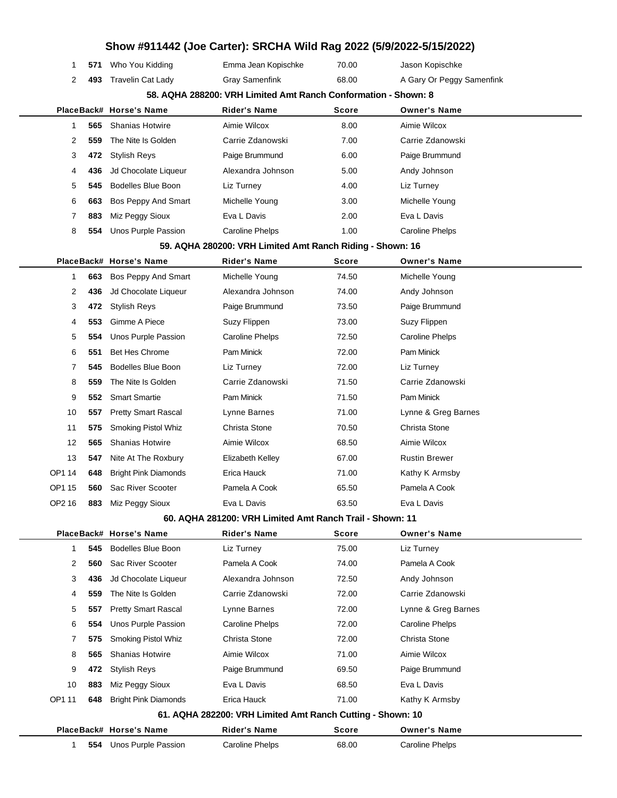|        |                     |                             | Show #911442 (Joe Carter): SRCHA Wild Rag 2022 (5/9/2022-5/15/2022) |              |                           |
|--------|---------------------|-----------------------------|---------------------------------------------------------------------|--------------|---------------------------|
|        | 571<br>1            | Who You Kidding             | Emma Jean Kopischke                                                 | 70.00        | Jason Kopischke           |
|        | 2<br>493            | <b>Travelin Cat Lady</b>    | <b>Gray Samenfink</b>                                               | 68.00        | A Gary Or Peggy Samenfink |
|        |                     |                             | 58. AQHA 288200: VRH Limited Amt Ranch Conformation - Shown: 8      |              |                           |
|        |                     | PlaceBack# Horse's Name     | <b>Rider's Name</b>                                                 | <b>Score</b> | <b>Owner's Name</b>       |
|        | 565<br>$\mathbf{1}$ | <b>Shanias Hotwire</b>      | Aimie Wilcox                                                        | 8.00         | Aimie Wilcox              |
|        | 2<br>559            | The Nite Is Golden          | Carrie Zdanowski                                                    | 7.00         | Carrie Zdanowski          |
|        | 3<br>472            | <b>Stylish Reys</b>         | Paige Brummund                                                      | 6.00         | Paige Brummund            |
|        | 4<br>436            | Jd Chocolate Liqueur        | Alexandra Johnson                                                   | 5.00         | Andy Johnson              |
|        | 5<br>545            | <b>Bodelles Blue Boon</b>   | Liz Turney                                                          | 4.00         | Liz Turney                |
|        | 6<br>663            | Bos Peppy And Smart         | Michelle Young                                                      | 3.00         | Michelle Young            |
|        | 7<br>883            | Miz Peggy Sioux             | Eva L Davis                                                         | 2.00         | Eva L Davis               |
|        | 8<br>554            | Unos Purple Passion         | Caroline Phelps                                                     | 1.00         | <b>Caroline Phelps</b>    |
|        |                     |                             | 59. AQHA 280200: VRH Limited Amt Ranch Riding - Shown: 16           |              |                           |
|        |                     | PlaceBack# Horse's Name     | Rider's Name                                                        | <b>Score</b> | <b>Owner's Name</b>       |
|        | $\mathbf{1}$<br>663 | Bos Peppy And Smart         | Michelle Young                                                      | 74.50        | Michelle Young            |
|        | 2<br>436            | Jd Chocolate Liqueur        | Alexandra Johnson                                                   | 74.00        | Andy Johnson              |
|        | 3<br>472            | <b>Stylish Reys</b>         | Paige Brummund                                                      | 73.50        | Paige Brummund            |
|        | 4<br>553            | Gimme A Piece               | Suzy Flippen                                                        | 73.00        | Suzy Flippen              |
|        | 5<br>554            | Unos Purple Passion         | <b>Caroline Phelps</b>                                              | 72.50        | <b>Caroline Phelps</b>    |
|        | 551<br>6            | <b>Bet Hes Chrome</b>       | Pam Minick                                                          | 72.00        | Pam Minick                |
|        | 7<br>545            | <b>Bodelles Blue Boon</b>   | Liz Turney                                                          | 72.00        | Liz Turney                |
|        | 8<br>559            | The Nite Is Golden          | Carrie Zdanowski                                                    | 71.50        | Carrie Zdanowski          |
|        | 9<br>552            | <b>Smart Smartie</b>        | Pam Minick                                                          | 71.50        | Pam Minick                |
| 10     | 557                 | <b>Pretty Smart Rascal</b>  | Lynne Barnes                                                        | 71.00        | Lynne & Greg Barnes       |
| 11     | 575                 | Smoking Pistol Whiz         | Christa Stone                                                       | 70.50        | Christa Stone             |
| 12     | 565                 | <b>Shanias Hotwire</b>      | Aimie Wilcox                                                        | 68.50        | Aimie Wilcox              |
| 13     | 547                 | Nite At The Roxbury         | Elizabeth Kelley                                                    | 67.00        | <b>Rustin Brewer</b>      |
| OP1 14 | 648                 | <b>Bright Pink Diamonds</b> | Erica Hauck                                                         | 71.00        | Kathy K Armsby            |
| OP1 15 | 560                 | Sac River Scooter           | Pamela A Cook                                                       | 65.50        | Pamela A Cook             |
| OP2 16 | 883                 | Miz Peggy Sioux             | Eva L Davis                                                         | 63.50        | Eva L Davis               |
|        |                     |                             | 60. AQHA 281200: VRH Limited Amt Ranch Trail - Shown: 11            |              |                           |
|        |                     | PlaceBack# Horse's Name     | Rider's Name                                                        | Score        | <b>Owner's Name</b>       |
|        | $\mathbf{1}$<br>545 | <b>Bodelles Blue Boon</b>   | Liz Turney                                                          | 75.00        | Liz Turney                |
|        | 2<br>560            | Sac River Scooter           | Pamela A Cook                                                       | 74.00        | Pamela A Cook             |
|        | 3<br>436            | Jd Chocolate Liqueur        | Alexandra Johnson                                                   | 72.50        | Andy Johnson              |
|        | 4<br>559            | The Nite Is Golden          | Carrie Zdanowski                                                    | 72.00        | Carrie Zdanowski          |
|        | 5<br>557            | <b>Pretty Smart Rascal</b>  | Lynne Barnes                                                        | 72.00        | Lynne & Greg Barnes       |
|        | 6<br>554            | Unos Purple Passion         | <b>Caroline Phelps</b>                                              | 72.00        | <b>Caroline Phelps</b>    |
|        | 7<br>575            | Smoking Pistol Whiz         | Christa Stone                                                       | 72.00        | Christa Stone             |
|        | 8<br>565            | <b>Shanias Hotwire</b>      | Aimie Wilcox                                                        | 71.00        | Aimie Wilcox              |
|        | 9<br>472            | <b>Stylish Reys</b>         | Paige Brummund                                                      | 69.50        | Paige Brummund            |
| 10     | 883                 | Miz Peggy Sioux             | Eva L Davis                                                         | 68.50        | Eva L Davis               |
| OP1 11 | 648                 | <b>Bright Pink Diamonds</b> | Erica Hauck                                                         | 71.00        | Kathy K Armsby            |
|        |                     |                             | 61. AQHA 282200: VRH Limited Amt Ranch Cutting - Shown: 10          |              |                           |
|        |                     | PlaceBack# Horse's Name     | Rider's Name                                                        | <b>Score</b> | <b>Owner's Name</b>       |
|        | $\mathbf{1}$<br>554 | Unos Purple Passion         | <b>Caroline Phelps</b>                                              | 68.00        | <b>Caroline Phelps</b>    |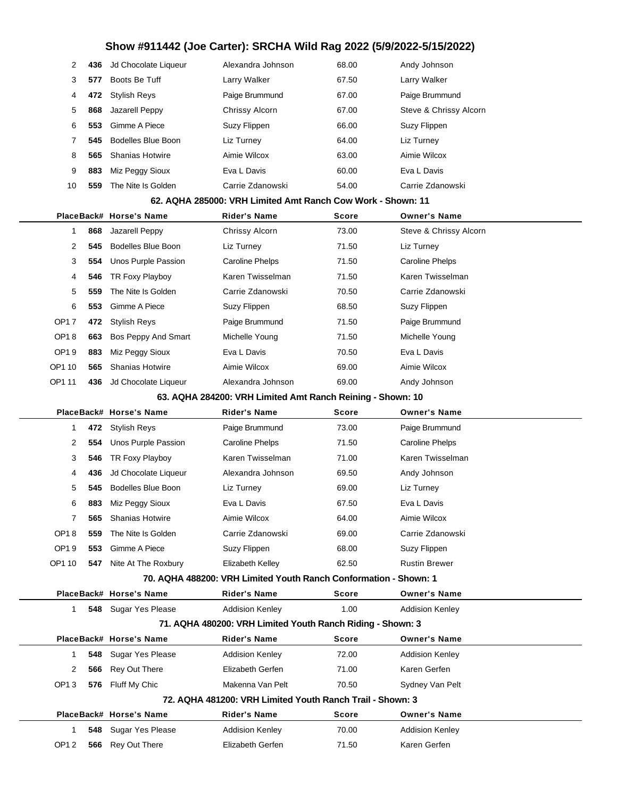# **Show #911442 (Joe Carter): SRCHA Wild Rag 2022 (5/9/2022-5/15/2022)**

| 2                     | 436        | Jd Chocolate Liqueur              | Alexandra Johnson                                                | 68.00          | Andy Johnson                           |
|-----------------------|------------|-----------------------------------|------------------------------------------------------------------|----------------|----------------------------------------|
| 3                     | 577        | Boots Be Tuff                     | Larry Walker                                                     | 67.50          | Larry Walker                           |
| 4                     | 472        | <b>Stylish Reys</b>               | Paige Brummund                                                   | 67.00          | Paige Brummund                         |
| 5                     | 868        | Jazarell Peppy                    | Chrissy Alcorn                                                   | 67.00          | Steve & Chrissy Alcorn                 |
| 6                     | 553        | Gimme A Piece                     | Suzy Flippen                                                     | 66.00          | Suzy Flippen                           |
| 7                     | 545        | <b>Bodelles Blue Boon</b>         | Liz Turney                                                       | 64.00          | Liz Turney                             |
| 8                     | 565        | <b>Shanias Hotwire</b>            | Aimie Wilcox                                                     | 63.00          | Aimie Wilcox                           |
| 9                     | 883        | Miz Peggy Sioux                   | Eva L Davis                                                      | 60.00          | Eva L Davis                            |
| 10                    | 559        | The Nite Is Golden                | Carrie Zdanowski                                                 | 54.00          | Carrie Zdanowski                       |
|                       |            |                                   | 62. AQHA 285000: VRH Limited Amt Ranch Cow Work - Shown: 11      |                |                                        |
|                       |            | PlaceBack# Horse's Name           | <b>Rider's Name</b>                                              | Score          | <b>Owner's Name</b>                    |
| 1                     | 868        | Jazarell Peppy                    | Chrissy Alcorn                                                   | 73.00          | Steve & Chrissy Alcorn                 |
| 2                     | 545        | <b>Bodelles Blue Boon</b>         | Liz Turney                                                       | 71.50          | Liz Turney                             |
| 3                     | 554        | Unos Purple Passion               | <b>Caroline Phelps</b>                                           | 71.50          | <b>Caroline Phelps</b>                 |
| 4                     | 546        | TR Foxy Playboy                   | Karen Twisselman                                                 | 71.50          | Karen Twisselman                       |
| 5                     | 559        | The Nite Is Golden                | Carrie Zdanowski                                                 | 70.50          | Carrie Zdanowski                       |
| 6                     | 553        | Gimme A Piece                     | Suzy Flippen                                                     | 68.50          | Suzy Flippen                           |
| <b>OP17</b>           | 472        | <b>Stylish Reys</b>               | Paige Brummund                                                   | 71.50          | Paige Brummund                         |
| <b>OP18</b>           | 663        | Bos Peppy And Smart               | Michelle Young                                                   | 71.50          | Michelle Young                         |
| OP19                  | 883        | Miz Peggy Sioux                   | Eva L Davis                                                      | 70.50          | Eva L Davis                            |
| OP1 10                | 565        | <b>Shanias Hotwire</b>            | Aimie Wilcox                                                     | 69.00          | Aimie Wilcox                           |
| OP1 11                | 436        | Jd Chocolate Liqueur              | Alexandra Johnson                                                | 69.00          | Andy Johnson                           |
|                       |            |                                   | 63. AQHA 284200: VRH Limited Amt Ranch Reining - Shown: 10       |                |                                        |
|                       |            | PlaceBack# Horse's Name           |                                                                  |                |                                        |
|                       |            |                                   | <b>Rider's Name</b>                                              | <b>Score</b>   | <b>Owner's Name</b>                    |
| 1                     | 472        | <b>Stylish Reys</b>               | Paige Brummund                                                   | 73.00          | Paige Brummund                         |
| 2                     | 554        | Unos Purple Passion               | Caroline Phelps                                                  | 71.50          | <b>Caroline Phelps</b>                 |
| 3                     | 546        | TR Foxy Playboy                   | Karen Twisselman                                                 | 71.00          | Karen Twisselman                       |
| 4                     | 436        | Jd Chocolate Liqueur              | Alexandra Johnson                                                | 69.50          | Andy Johnson                           |
| 5                     | 545        | <b>Bodelles Blue Boon</b>         | Liz Turney                                                       | 69.00          | Liz Turney                             |
| 6                     | 883        | Miz Peggy Sioux                   | Eva L Davis                                                      | 67.50          | Eva L Davis                            |
| 7                     | 565        | <b>Shanias Hotwire</b>            | Aimie Wilcox                                                     | 64.00          | Aimie Wilcox                           |
| OP <sub>18</sub>      | 559        | The Nite Is Golden                | Carrie Zdanowski                                                 | 69.00          | Carrie Zdanowski                       |
| OP19                  | 553        | Gimme A Piece                     | Suzy Flippen                                                     | 68.00          | Suzy Flippen                           |
| OP1 10                | 547        | Nite At The Roxbury               | Elizabeth Kelley                                                 | 62.50          | <b>Rustin Brewer</b>                   |
|                       |            |                                   | 70. AQHA 488200: VRH Limited Youth Ranch Conformation - Shown: 1 |                |                                        |
|                       |            | PlaceBack# Horse's Name           | Rider's Name                                                     | Score          | <b>Owner's Name</b>                    |
| 1                     |            | 548 Sugar Yes Please              | <b>Addision Kenley</b>                                           | 1.00           | <b>Addision Kenley</b>                 |
|                       |            |                                   | 71. AQHA 480200: VRH Limited Youth Ranch Riding - Shown: 3       |                |                                        |
|                       |            | PlaceBack# Horse's Name           | <b>Rider's Name</b>                                              | Score          | <b>Owner's Name</b>                    |
| 1                     | 548        | Sugar Yes Please                  | <b>Addision Kenley</b>                                           | 72.00          | <b>Addision Kenley</b>                 |
| 2                     | 566        | Rey Out There                     | Elizabeth Gerfen                                                 | 71.00          | Karen Gerfen                           |
| OP <sub>13</sub>      | 576        | Fluff My Chic                     | Makenna Van Pelt                                                 | 70.50          | Sydney Van Pelt                        |
|                       |            |                                   | 72. AQHA 481200: VRH Limited Youth Ranch Trail - Shown: 3        |                |                                        |
|                       |            | PlaceBack# Horse's Name           | <b>Rider's Name</b>                                              | Score          | <b>Owner's Name</b>                    |
| 1<br>OP <sub>12</sub> | 548<br>566 | Sugar Yes Please<br>Rey Out There | <b>Addision Kenley</b><br>Elizabeth Gerfen                       | 70.00<br>71.50 | <b>Addision Kenley</b><br>Karen Gerfen |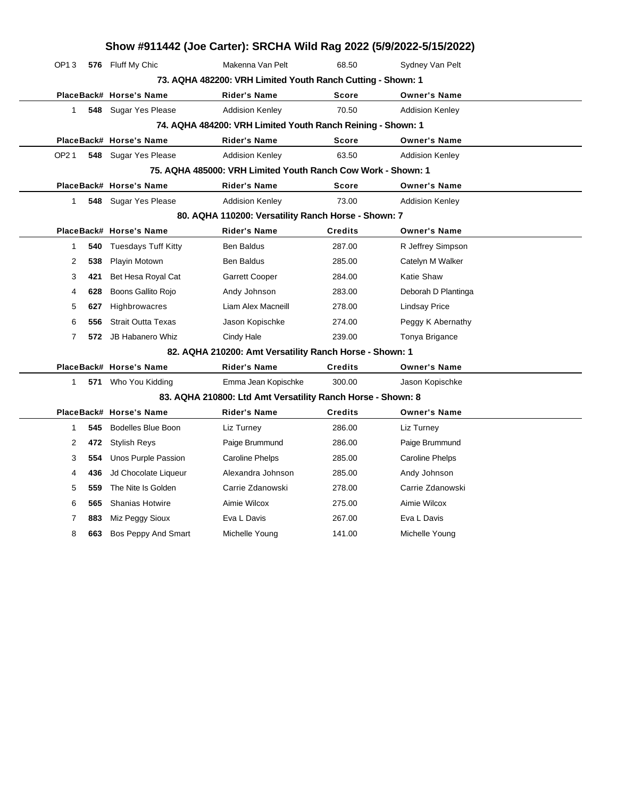| Show #911442 (Joe Carter): SRCHA Wild Rag 2022 (5/9/2022-5/15/2022) |     |                            |                                                              |                |                        |  |  |  |
|---------------------------------------------------------------------|-----|----------------------------|--------------------------------------------------------------|----------------|------------------------|--|--|--|
| OP13                                                                |     | 576 Fluff My Chic          | Makenna Van Pelt                                             | 68.50          | Sydney Van Pelt        |  |  |  |
| 73. AQHA 482200: VRH Limited Youth Ranch Cutting - Shown: 1         |     |                            |                                                              |                |                        |  |  |  |
|                                                                     |     | PlaceBack# Horse's Name    | Rider's Name                                                 | Score          | <b>Owner's Name</b>    |  |  |  |
| 1                                                                   |     | 548 Sugar Yes Please       | <b>Addision Kenley</b>                                       | 70.50          | <b>Addision Kenley</b> |  |  |  |
|                                                                     |     |                            | 74. AQHA 484200: VRH Limited Youth Ranch Reining - Shown: 1  |                |                        |  |  |  |
|                                                                     |     | PlaceBack# Horse's Name    | <b>Rider's Name</b>                                          | Score          | <b>Owner's Name</b>    |  |  |  |
| OP21                                                                |     | 548 Sugar Yes Please       | <b>Addision Kenley</b>                                       | 63.50          | <b>Addision Kenley</b> |  |  |  |
|                                                                     |     |                            | 75. AQHA 485000: VRH Limited Youth Ranch Cow Work - Shown: 1 |                |                        |  |  |  |
|                                                                     |     | PlaceBack# Horse's Name    | <b>Rider's Name</b>                                          | Score          | <b>Owner's Name</b>    |  |  |  |
| $\mathbf{1}$                                                        |     | 548 Sugar Yes Please       | <b>Addision Kenley</b>                                       | 73.00          | <b>Addision Kenley</b> |  |  |  |
|                                                                     |     |                            | 80. AQHA 110200: Versatility Ranch Horse - Shown: 7          |                |                        |  |  |  |
|                                                                     |     | PlaceBack# Horse's Name    | <b>Rider's Name</b>                                          | <b>Credits</b> | <b>Owner's Name</b>    |  |  |  |
| $\mathbf{1}$                                                        | 540 | <b>Tuesdays Tuff Kitty</b> | <b>Ben Baldus</b>                                            | 287.00         | R Jeffrey Simpson      |  |  |  |
| 2                                                                   | 538 | Playin Motown              | <b>Ben Baldus</b>                                            | 285.00         | Catelyn M Walker       |  |  |  |
| 3                                                                   | 421 | Bet Hesa Royal Cat         | <b>Garrett Cooper</b>                                        | 284.00         | Katie Shaw             |  |  |  |
| 4                                                                   | 628 | Boons Gallito Rojo         | Andy Johnson                                                 | 283.00         | Deborah D Plantinga    |  |  |  |
| 5                                                                   | 627 | <b>Highbrowacres</b>       | Liam Alex Macneill                                           | 278.00         | <b>Lindsay Price</b>   |  |  |  |
| 6                                                                   | 556 | <b>Strait Outta Texas</b>  | Jason Kopischke                                              | 274.00         | Peggy K Abernathy      |  |  |  |
| 7                                                                   | 572 | JB Habanero Whiz           | Cindy Hale                                                   | 239.00         | Tonya Brigance         |  |  |  |
|                                                                     |     |                            | 82. AQHA 210200: Amt Versatility Ranch Horse - Shown: 1      |                |                        |  |  |  |
|                                                                     |     | PlaceBack# Horse's Name    | <b>Rider's Name</b>                                          | <b>Credits</b> | <b>Owner's Name</b>    |  |  |  |
| $\mathbf{1}$                                                        |     | 571 Who You Kidding        | Emma Jean Kopischke                                          | 300.00         | Jason Kopischke        |  |  |  |
|                                                                     |     |                            | 83. AQHA 210800: Ltd Amt Versatility Ranch Horse - Shown: 8  |                |                        |  |  |  |
|                                                                     |     | PlaceBack# Horse's Name    | <b>Rider's Name</b>                                          | <b>Credits</b> | <b>Owner's Name</b>    |  |  |  |
| $\mathbf{1}$                                                        | 545 | <b>Bodelles Blue Boon</b>  | Liz Turney                                                   | 286.00         | Liz Turney             |  |  |  |
| 2                                                                   | 472 | <b>Stylish Reys</b>        | Paige Brummund                                               | 286.00         | Paige Brummund         |  |  |  |
| 3                                                                   | 554 | Unos Purple Passion        | <b>Caroline Phelps</b>                                       | 285.00         | Caroline Phelps        |  |  |  |
| 4                                                                   | 436 | Jd Chocolate Liqueur       | Alexandra Johnson                                            | 285.00         | Andy Johnson           |  |  |  |
| 5                                                                   | 559 | The Nite Is Golden         | Carrie Zdanowski                                             | 278.00         | Carrie Zdanowski       |  |  |  |
| 6                                                                   | 565 | <b>Shanias Hotwire</b>     | Aimie Wilcox                                                 | 275.00         | Aimie Wilcox           |  |  |  |
| 7                                                                   | 883 | Miz Peggy Sioux            | Eva L Davis                                                  | 267.00         | Eva L Davis            |  |  |  |
| 8                                                                   | 663 | Bos Peppy And Smart        | Michelle Young                                               | 141.00         | Michelle Young         |  |  |  |
|                                                                     |     |                            |                                                              |                |                        |  |  |  |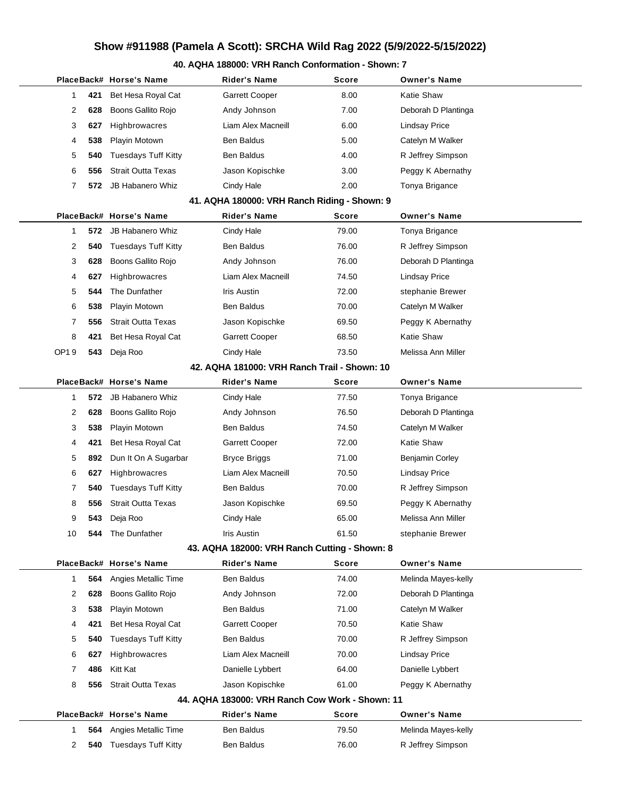# **Show #911988 (Pamela A Scott): SRCHA Wild Rag 2022 (5/9/2022-5/15/2022)**

#### **40. AQHA 188000: VRH Ranch Conformation - Shown: 7**

|              |                                              | PlaceBack# Horse's Name    | Rider's Name                                    | Score | <b>Owner's Name</b>  |  |  |  |
|--------------|----------------------------------------------|----------------------------|-------------------------------------------------|-------|----------------------|--|--|--|
| 1            | 421                                          | Bet Hesa Royal Cat         | Garrett Cooper                                  | 8.00  | Katie Shaw           |  |  |  |
| 2            | 628                                          | Boons Gallito Rojo         | Andy Johnson                                    | 7.00  | Deborah D Plantinga  |  |  |  |
| 3            | 627                                          | Highbrowacres              | Liam Alex Macneill                              | 6.00  | <b>Lindsay Price</b> |  |  |  |
| 4            | 538                                          | Playin Motown              | Ben Baldus                                      | 5.00  | Catelyn M Walker     |  |  |  |
| 5            | 540                                          | <b>Tuesdays Tuff Kitty</b> | Ben Baldus                                      | 4.00  | R Jeffrey Simpson    |  |  |  |
| 6            | 556                                          | <b>Strait Outta Texas</b>  | Jason Kopischke                                 | 3.00  | Peggy K Abernathy    |  |  |  |
| 7            | 572                                          | <b>JB Habanero Whiz</b>    | Cindy Hale                                      | 2.00  | Tonya Brigance       |  |  |  |
|              |                                              |                            | 41. AQHA 180000: VRH Ranch Riding - Shown: 9    |       |                      |  |  |  |
|              |                                              | PlaceBack# Horse's Name    | Rider's Name                                    | Score | <b>Owner's Name</b>  |  |  |  |
| 1            | 572                                          | <b>JB Habanero Whiz</b>    | Cindy Hale                                      | 79.00 | Tonya Brigance       |  |  |  |
| 2            | 540                                          | <b>Tuesdays Tuff Kitty</b> | Ben Baldus                                      | 76.00 | R Jeffrey Simpson    |  |  |  |
| 3            | 628                                          | Boons Gallito Rojo         | Andy Johnson                                    | 76.00 | Deborah D Plantinga  |  |  |  |
| 4            | 627                                          | Highbrowacres              | Liam Alex Macneill                              | 74.50 | <b>Lindsay Price</b> |  |  |  |
| 5            | 544                                          | The Dunfather              | Iris Austin                                     | 72.00 | stephanie Brewer     |  |  |  |
| 6            | 538                                          | Playin Motown              | Ben Baldus                                      | 70.00 | Catelyn M Walker     |  |  |  |
| 7            | 556                                          | <b>Strait Outta Texas</b>  | Jason Kopischke                                 | 69.50 | Peggy K Abernathy    |  |  |  |
| 8            | 421                                          | Bet Hesa Royal Cat         | Garrett Cooper                                  | 68.50 | Katie Shaw           |  |  |  |
| OP19         | 543                                          | Deja Roo                   | Cindy Hale                                      | 73.50 | Melissa Ann Miller   |  |  |  |
|              | 42. AQHA 181000: VRH Ranch Trail - Shown: 10 |                            |                                                 |       |                      |  |  |  |
|              |                                              | PlaceBack# Horse's Name    | <b>Rider's Name</b>                             | Score | <b>Owner's Name</b>  |  |  |  |
| 1            | 572                                          | JB Habanero Whiz           | Cindy Hale                                      | 77.50 | Tonya Brigance       |  |  |  |
| 2            | 628                                          | Boons Gallito Rojo         | Andy Johnson                                    | 76.50 | Deborah D Plantinga  |  |  |  |
| 3            | 538                                          | Playin Motown              | Ben Baldus                                      | 74.50 | Catelyn M Walker     |  |  |  |
| 4            | 421                                          | Bet Hesa Royal Cat         | Garrett Cooper                                  | 72.00 | Katie Shaw           |  |  |  |
| 5            | 892                                          | Dun It On A Sugarbar       | <b>Bryce Briggs</b>                             | 71.00 | Benjamin Corley      |  |  |  |
| 6            | 627                                          | Highbrowacres              | Liam Alex Macneill                              | 70.50 | <b>Lindsay Price</b> |  |  |  |
| 7            | 540                                          | <b>Tuesdays Tuff Kitty</b> | Ben Baldus                                      | 70.00 | R Jeffrey Simpson    |  |  |  |
| 8            | 556                                          | <b>Strait Outta Texas</b>  | Jason Kopischke                                 | 69.50 | Peggy K Abernathy    |  |  |  |
| 9            | 543                                          | Deja Roo                   | Cindy Hale                                      | 65.00 | Melissa Ann Miller   |  |  |  |
| 10           | 544                                          | The Dunfather              | Iris Austin                                     | 61.50 | stephanie Brewer     |  |  |  |
|              |                                              |                            | 43. AQHA 182000: VRH Ranch Cutting - Shown: 8   |       |                      |  |  |  |
|              |                                              | PlaceBack# Horse's Name    | <b>Rider's Name</b>                             | Score | <b>Owner's Name</b>  |  |  |  |
| $\mathbf{1}$ | 564                                          | Angies Metallic Time       | Ben Baldus                                      | 74.00 | Melinda Mayes-kelly  |  |  |  |
| 2            | 628                                          | Boons Gallito Rojo         | Andy Johnson                                    | 72.00 | Deborah D Plantinga  |  |  |  |
| 3            | 538                                          | Playin Motown              | Ben Baldus                                      | 71.00 | Catelyn M Walker     |  |  |  |
| 4            | 421                                          | Bet Hesa Royal Cat         | <b>Garrett Cooper</b>                           | 70.50 | Katie Shaw           |  |  |  |
| 5            | 540                                          | <b>Tuesdays Tuff Kitty</b> | Ben Baldus                                      | 70.00 | R Jeffrey Simpson    |  |  |  |
| 6            | 627                                          | Highbrowacres              | Liam Alex Macneill                              | 70.00 | Lindsay Price        |  |  |  |
| 7            | 486                                          | Kitt Kat                   | Danielle Lybbert                                | 64.00 | Danielle Lybbert     |  |  |  |
| 8            | 556                                          | <b>Strait Outta Texas</b>  | Jason Kopischke                                 | 61.00 | Peggy K Abernathy    |  |  |  |
|              |                                              |                            | 44. AQHA 183000: VRH Ranch Cow Work - Shown: 11 |       |                      |  |  |  |
|              |                                              | PlaceBack# Horse's Name    | <b>Rider's Name</b>                             | Score | <b>Owner's Name</b>  |  |  |  |
| $\mathbf{1}$ | 564                                          | Angies Metallic Time       | Ben Baldus                                      | 79.50 | Melinda Mayes-kelly  |  |  |  |
| 2            | 540                                          | <b>Tuesdays Tuff Kitty</b> | Ben Baldus                                      | 76.00 | R Jeffrey Simpson    |  |  |  |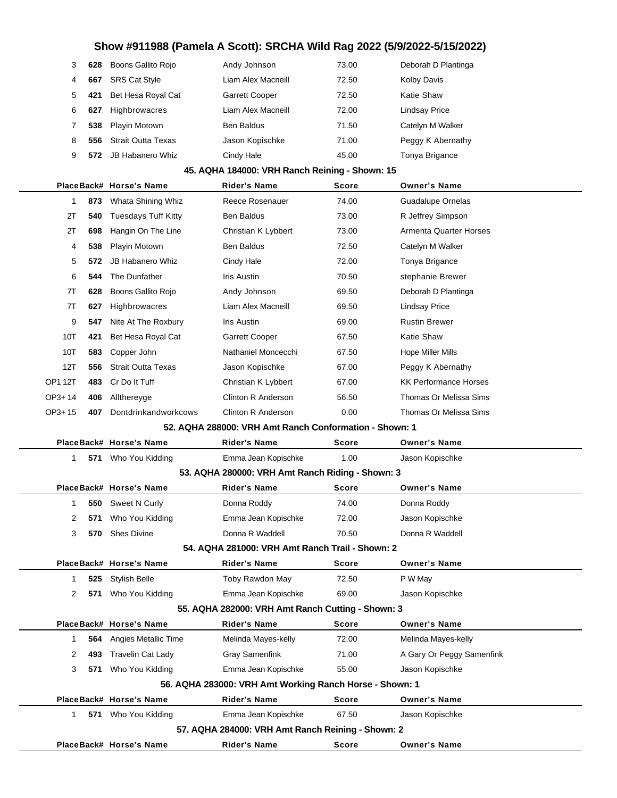## **Show #911988 (Pamela A Scott): SRCHA Wild Rag 2022 (5/9/2022-5/15/2022)**

| 3 | 628 | Boons Gallito Rojo        | Andy Johnson          | 73.00 | Deborah D Plantinga  |
|---|-----|---------------------------|-----------------------|-------|----------------------|
| 4 | 667 | <b>SRS Cat Style</b>      | Liam Alex Macneill    | 72.50 | <b>Kolby Davis</b>   |
| 5 | 421 | Bet Hesa Royal Cat        | <b>Garrett Cooper</b> | 72.50 | Katie Shaw           |
| 6 | 627 | Highbrowacres             | Liam Alex Macneill    | 72.00 | <b>Lindsay Price</b> |
| 7 | 538 | Playin Motown             | <b>Ben Baldus</b>     | 71.50 | Catelyn M Walker     |
| 8 | 556 | <b>Strait Outta Texas</b> | Jason Kopischke       | 71.00 | Peggy K Abernathy    |
| 9 | 572 | <b>JB Habanero Whiz</b>   | Cindy Hale            | 45.00 | Tonya Brigance       |

## **45. AQHA 184000: VRH Ranch Reining - Shown: 15**

|                |     | PlaceBack# Horse's Name    | <b>Rider's Name</b>                                    | <b>Score</b> | <b>Owner's Name</b>           |
|----------------|-----|----------------------------|--------------------------------------------------------|--------------|-------------------------------|
| 1              | 873 | Whata Shining Whiz         | Reece Rosenauer                                        | 74.00        | <b>Guadalupe Ornelas</b>      |
| 2T             | 540 | <b>Tuesdays Tuff Kitty</b> | <b>Ben Baldus</b>                                      | 73.00        | R Jeffrey Simpson             |
| 2T             | 698 | Hangin On The Line         | Christian K Lybbert                                    | 73.00        | <b>Armenta Quarter Horses</b> |
| 4              | 538 | Playin Motown              | <b>Ben Baldus</b>                                      | 72.50        | Catelyn M Walker              |
| 5              | 572 | <b>JB Habanero Whiz</b>    | Cindy Hale                                             | 72.00        | Tonya Brigance                |
| 6              | 544 | The Dunfather              | Iris Austin                                            | 70.50        | stephanie Brewer              |
| 7T             | 628 | Boons Gallito Rojo         | Andy Johnson                                           | 69.50        | Deborah D Plantinga           |
| 7T             | 627 | Highbrowacres              | Liam Alex Macneill                                     | 69.50        | <b>Lindsay Price</b>          |
| 9              | 547 | Nite At The Roxbury        | <b>Iris Austin</b>                                     | 69.00        | <b>Rustin Brewer</b>          |
| 10T            | 421 | Bet Hesa Royal Cat         | <b>Garrett Cooper</b>                                  | 67.50        | <b>Katie Shaw</b>             |
| 10T            | 583 | Copper John                | Nathaniel Moncecchi                                    | 67.50        | Hope Miller Mills             |
| 12T            | 556 | <b>Strait Outta Texas</b>  | Jason Kopischke                                        | 67.00        | Peggy K Abernathy             |
| <b>OP1 12T</b> | 483 | Cr Do It Tuff              | Christian K Lybbert                                    | 67.00        | <b>KK Performance Horses</b>  |
| $OP3+14$       | 406 | Allthereyge                | <b>Clinton R Anderson</b>                              | 56.50        | Thomas Or Melissa Sims        |
| $OP3+15$       | 407 | Dontdrinkandworkcows       | <b>Clinton R Anderson</b>                              | 0.00         | Thomas Or Melissa Sims        |
|                |     |                            | 52. AQHA 288000: VRH Amt Ranch Conformation - Shown: 1 |              |                               |
|                |     | PlaceBack# Horse's Name    | <b>Rider's Name</b>                                    | <b>Score</b> | <b>Owner's Name</b>           |
| 1              | 571 | Who You Kidding            | Emma Jean Kopischke                                    | 1.00         | Jason Kopischke               |
|                |     |                            | 53. AQHA 280000: VRH Amt Ranch Riding - Shown: 3       |              |                               |
|                |     | PlaceBack# Horse's Name    | <b>Rider's Name</b>                                    | <b>Score</b> | <b>Owner's Name</b>           |

| 1                                                 | 550 | Sweet N Curly            | Donna Roddy                                             | 74.00        | Donna Roddy               |  |  |
|---------------------------------------------------|-----|--------------------------|---------------------------------------------------------|--------------|---------------------------|--|--|
| 2                                                 | 571 | Who You Kidding          | Emma Jean Kopischke                                     | 72.00        | Jason Kopischke           |  |  |
| 3                                                 | 570 | <b>Shes Divine</b>       | Donna R Waddell                                         | 70.50        | Donna R Waddell           |  |  |
|                                                   |     |                          | 54. AQHA 281000: VRH Amt Ranch Trail - Shown: 2         |              |                           |  |  |
|                                                   |     | PlaceBack# Horse's Name  | <b>Rider's Name</b>                                     | <b>Score</b> | <b>Owner's Name</b>       |  |  |
| 1                                                 | 525 | <b>Stylish Belle</b>     | Toby Rawdon May                                         | 72.50        | P W May                   |  |  |
| 2                                                 | 571 | Who You Kidding          | Emma Jean Kopischke                                     | 69.00        | Jason Kopischke           |  |  |
| 55. AQHA 282000: VRH Amt Ranch Cutting - Shown: 3 |     |                          |                                                         |              |                           |  |  |
|                                                   |     | PlaceBack# Horse's Name  | <b>Rider's Name</b>                                     | <b>Score</b> | <b>Owner's Name</b>       |  |  |
| 1                                                 | 564 | Angies Metallic Time     | Melinda Mayes-kelly                                     | 72.00        | Melinda Mayes-kelly       |  |  |
| 2                                                 | 493 | <b>Travelin Cat Lady</b> | <b>Gray Samenfink</b>                                   | 71.00        | A Gary Or Peggy Samenfink |  |  |
| 3                                                 | 571 | Who You Kidding          | Emma Jean Kopischke                                     | 55.00        | Jason Kopischke           |  |  |
|                                                   |     |                          | 56. AQHA 283000: VRH Amt Working Ranch Horse - Shown: 1 |              |                           |  |  |
|                                                   |     | PlaceBack# Horse's Name  | <b>Rider's Name</b>                                     | <b>Score</b> | <b>Owner's Name</b>       |  |  |
| 1                                                 | 571 | Who You Kidding          | Emma Jean Kopischke                                     | 67.50        | Jason Kopischke           |  |  |
|                                                   |     |                          | 57. AQHA 284000: VRH Amt Ranch Reining - Shown: 2       |              |                           |  |  |
|                                                   |     | PlaceBack# Horse's Name  | <b>Rider's Name</b>                                     | <b>Score</b> | <b>Owner's Name</b>       |  |  |
|                                                   |     |                          |                                                         |              |                           |  |  |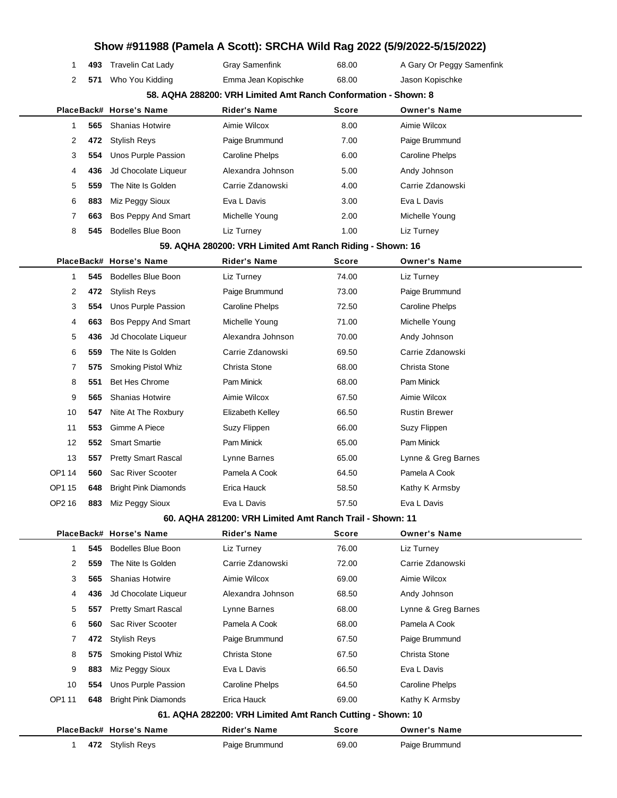|              |                                                                |                             |                                                            |              | Show #911988 (Pamela A Scott): SRCHA Wild Rag 2022 (5/9/2022-5/15/2022) |  |  |  |  |  |
|--------------|----------------------------------------------------------------|-----------------------------|------------------------------------------------------------|--------------|-------------------------------------------------------------------------|--|--|--|--|--|
| 1            | 493                                                            | <b>Travelin Cat Lady</b>    | <b>Gray Samenfink</b>                                      | 68.00        | A Gary Or Peggy Samenfink                                               |  |  |  |  |  |
| 2            | 571                                                            | Who You Kidding             | Emma Jean Kopischke                                        | 68.00        | Jason Kopischke                                                         |  |  |  |  |  |
|              | 58. AQHA 288200: VRH Limited Amt Ranch Conformation - Shown: 8 |                             |                                                            |              |                                                                         |  |  |  |  |  |
|              |                                                                | PlaceBack# Horse's Name     | <b>Rider's Name</b>                                        | Score        | <b>Owner's Name</b>                                                     |  |  |  |  |  |
| 1            | 565                                                            | <b>Shanias Hotwire</b>      | Aimie Wilcox                                               | 8.00         | Aimie Wilcox                                                            |  |  |  |  |  |
| 2            | 472                                                            | <b>Stylish Reys</b>         | Paige Brummund                                             | 7.00         | Paige Brummund                                                          |  |  |  |  |  |
| 3            | 554                                                            | Unos Purple Passion         | <b>Caroline Phelps</b>                                     | 6.00         | Caroline Phelps                                                         |  |  |  |  |  |
| 4            | 436                                                            | Jd Chocolate Liqueur        | Alexandra Johnson                                          | 5.00         | Andy Johnson                                                            |  |  |  |  |  |
| 5            | 559                                                            | The Nite Is Golden          | Carrie Zdanowski                                           | 4.00         | Carrie Zdanowski                                                        |  |  |  |  |  |
| 6            | 883                                                            | Miz Peggy Sioux             | Eva L Davis                                                | 3.00         | Eva L Davis                                                             |  |  |  |  |  |
| 7            | 663                                                            | Bos Peppy And Smart         | Michelle Young                                             | 2.00         | Michelle Young                                                          |  |  |  |  |  |
| 8            | 545                                                            | <b>Bodelles Blue Boon</b>   | Liz Turney                                                 | 1.00         | Liz Turney                                                              |  |  |  |  |  |
|              |                                                                |                             | 59. AQHA 280200: VRH Limited Amt Ranch Riding - Shown: 16  |              |                                                                         |  |  |  |  |  |
|              |                                                                | PlaceBack# Horse's Name     | <b>Rider's Name</b>                                        | <b>Score</b> | <b>Owner's Name</b>                                                     |  |  |  |  |  |
| $\mathbf{1}$ | 545                                                            | <b>Bodelles Blue Boon</b>   | Liz Turney                                                 | 74.00        | Liz Turney                                                              |  |  |  |  |  |
| 2            | 472                                                            | <b>Stylish Reys</b>         | Paige Brummund                                             | 73.00        | Paige Brummund                                                          |  |  |  |  |  |
| 3            | 554                                                            | Unos Purple Passion         | <b>Caroline Phelps</b>                                     | 72.50        | Caroline Phelps                                                         |  |  |  |  |  |
| 4            | 663                                                            | Bos Peppy And Smart         | Michelle Young                                             | 71.00        | Michelle Young                                                          |  |  |  |  |  |
| 5            | 436                                                            | Jd Chocolate Liqueur        | Alexandra Johnson                                          | 70.00        | Andy Johnson                                                            |  |  |  |  |  |
| 6            | 559                                                            | The Nite Is Golden          | Carrie Zdanowski                                           | 69.50        | Carrie Zdanowski                                                        |  |  |  |  |  |
| 7            | 575                                                            | Smoking Pistol Whiz         | Christa Stone                                              | 68.00        | Christa Stone                                                           |  |  |  |  |  |
| 8            | 551                                                            | <b>Bet Hes Chrome</b>       | Pam Minick                                                 | 68.00        | Pam Minick                                                              |  |  |  |  |  |
| 9            | 565                                                            | <b>Shanias Hotwire</b>      | Aimie Wilcox                                               | 67.50        | Aimie Wilcox                                                            |  |  |  |  |  |
| 10           | 547                                                            | Nite At The Roxbury         | Elizabeth Kelley                                           | 66.50        | <b>Rustin Brewer</b>                                                    |  |  |  |  |  |
| 11           | 553                                                            | Gimme A Piece               | Suzy Flippen                                               | 66.00        | Suzy Flippen                                                            |  |  |  |  |  |
| 12           | 552                                                            | <b>Smart Smartie</b>        | Pam Minick                                                 | 65.00        | Pam Minick                                                              |  |  |  |  |  |
| 13           | 557                                                            | <b>Pretty Smart Rascal</b>  | Lynne Barnes                                               | 65.00        | Lynne & Greg Barnes                                                     |  |  |  |  |  |
| OP1 14       | 560                                                            | Sac River Scooter           | Pamela A Cook                                              | 64.50        | Pamela A Cook                                                           |  |  |  |  |  |
| OP1 15       | 648                                                            | <b>Bright Pink Diamonds</b> | Erica Hauck                                                | 58.50        | Kathy K Armsby                                                          |  |  |  |  |  |
| OP2 16       | 883                                                            | Miz Peggy Sioux             | Eva L Davis                                                | 57.50        | Eva L Davis                                                             |  |  |  |  |  |
|              |                                                                |                             | 60. AQHA 281200: VRH Limited Amt Ranch Trail - Shown: 11   |              |                                                                         |  |  |  |  |  |
|              |                                                                | PlaceBack# Horse's Name     | <b>Rider's Name</b>                                        | Score        | <b>Owner's Name</b>                                                     |  |  |  |  |  |
| $\mathbf{1}$ | 545                                                            | Bodelles Blue Boon          | Liz Turney                                                 | 76.00        | Liz Turney                                                              |  |  |  |  |  |
| 2            | 559                                                            | The Nite Is Golden          | Carrie Zdanowski                                           | 72.00        | Carrie Zdanowski                                                        |  |  |  |  |  |
| 3            | 565                                                            | <b>Shanias Hotwire</b>      | Aimie Wilcox                                               | 69.00        | Aimie Wilcox                                                            |  |  |  |  |  |
| 4            | 436                                                            | Jd Chocolate Liqueur        | Alexandra Johnson                                          | 68.50        | Andy Johnson                                                            |  |  |  |  |  |
| 5            | 557                                                            | <b>Pretty Smart Rascal</b>  | Lynne Barnes                                               | 68.00        | Lynne & Greg Barnes                                                     |  |  |  |  |  |
| 6            | 560                                                            | Sac River Scooter           | Pamela A Cook                                              | 68.00        | Pamela A Cook                                                           |  |  |  |  |  |
| 7            | 472                                                            | <b>Stylish Reys</b>         | Paige Brummund                                             | 67.50        | Paige Brummund                                                          |  |  |  |  |  |
| 8            | 575                                                            | Smoking Pistol Whiz         | Christa Stone                                              | 67.50        | Christa Stone                                                           |  |  |  |  |  |
| 9            | 883                                                            | Miz Peggy Sioux             | Eva L Davis                                                | 66.50        | Eva L Davis                                                             |  |  |  |  |  |
| 10           | 554                                                            | Unos Purple Passion         | <b>Caroline Phelps</b>                                     | 64.50        | <b>Caroline Phelps</b>                                                  |  |  |  |  |  |
| OP1 11       | 648                                                            | <b>Bright Pink Diamonds</b> | Erica Hauck                                                | 69.00        | Kathy K Armsby                                                          |  |  |  |  |  |
|              |                                                                |                             | 61. AQHA 282200: VRH Limited Amt Ranch Cutting - Shown: 10 |              |                                                                         |  |  |  |  |  |
|              |                                                                | PlaceBack# Horse's Name     | <b>Rider's Name</b>                                        | Score        | <b>Owner's Name</b>                                                     |  |  |  |  |  |
| 1.           |                                                                | 472 Stylish Reys            | Paige Brummund                                             | 69.00        | Paige Brummund                                                          |  |  |  |  |  |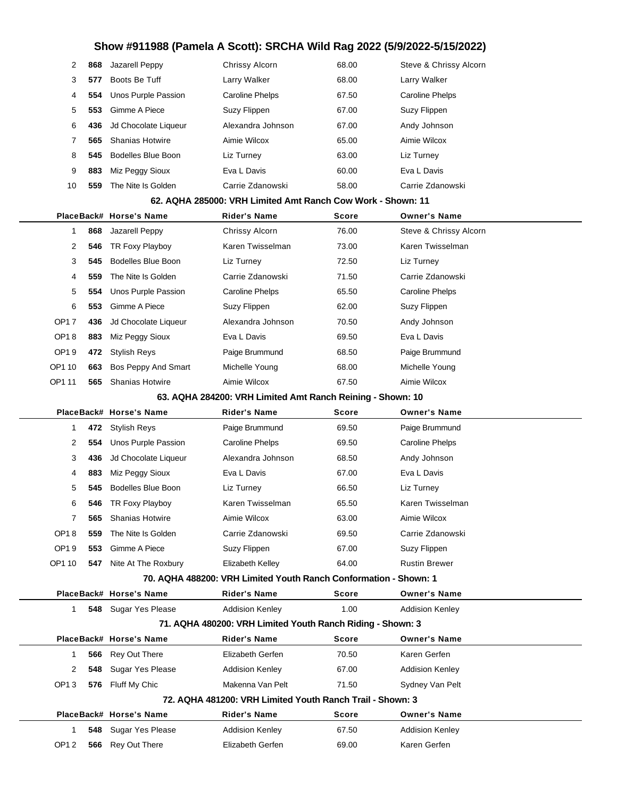# **Show #911988 (Pamela A Scott): SRCHA Wild Rag 2022 (5/9/2022-5/15/2022)**

|        | 2                                                          | 868 | Jazarell Peppy             | Chrissy Alcorn                                                   | 68.00 | Steve & Chrissy Alcorn |  |  |
|--------|------------------------------------------------------------|-----|----------------------------|------------------------------------------------------------------|-------|------------------------|--|--|
|        | 3                                                          | 577 | Boots Be Tuff              | Larry Walker                                                     | 68.00 | Larry Walker           |  |  |
|        | 4                                                          | 554 | Unos Purple Passion        | <b>Caroline Phelps</b>                                           | 67.50 | <b>Caroline Phelps</b> |  |  |
|        | 5                                                          | 553 | Gimme A Piece              | Suzy Flippen                                                     | 67.00 | Suzy Flippen           |  |  |
|        | 6                                                          | 436 | Jd Chocolate Liqueur       | Alexandra Johnson                                                | 67.00 | Andy Johnson           |  |  |
|        | 7                                                          | 565 | <b>Shanias Hotwire</b>     | Aimie Wilcox                                                     | 65.00 | Aimie Wilcox           |  |  |
|        | 8                                                          | 545 | <b>Bodelles Blue Boon</b>  | Liz Turney                                                       | 63.00 | Liz Turney             |  |  |
|        | 9                                                          | 883 | Miz Peggy Sioux            | Eva L Davis                                                      | 60.00 | Eva L Davis            |  |  |
|        | 10                                                         | 559 | The Nite Is Golden         | Carrie Zdanowski                                                 | 58.00 | Carrie Zdanowski       |  |  |
|        |                                                            |     |                            | 62. AQHA 285000: VRH Limited Amt Ranch Cow Work - Shown: 11      |       |                        |  |  |
|        |                                                            |     | PlaceBack# Horse's Name    | Rider's Name                                                     | Score | <b>Owner's Name</b>    |  |  |
|        | 1                                                          | 868 | Jazarell Peppy             | Chrissy Alcorn                                                   | 76.00 | Steve & Chrissy Alcorn |  |  |
|        | 2                                                          | 546 | TR Foxy Playboy            | Karen Twisselman                                                 | 73.00 | Karen Twisselman       |  |  |
|        | 3                                                          | 545 | <b>Bodelles Blue Boon</b>  | Liz Turney                                                       | 72.50 | Liz Turney             |  |  |
|        | 4                                                          | 559 | The Nite Is Golden         | Carrie Zdanowski                                                 | 71.50 | Carrie Zdanowski       |  |  |
|        | 5                                                          | 554 | <b>Unos Purple Passion</b> | <b>Caroline Phelps</b>                                           | 65.50 | <b>Caroline Phelps</b> |  |  |
|        | 6                                                          | 553 | Gimme A Piece              | Suzy Flippen                                                     | 62.00 | Suzy Flippen           |  |  |
|        | OP17                                                       | 436 | Jd Chocolate Liqueur       | Alexandra Johnson                                                | 70.50 | Andy Johnson           |  |  |
|        | OP18                                                       | 883 | Miz Peggy Sioux            | Eva L Davis                                                      | 69.50 | Eva L Davis            |  |  |
|        | OP19                                                       | 472 | <b>Stylish Reys</b>        | Paige Brummund                                                   | 68.50 | Paige Brummund         |  |  |
| OP1 10 |                                                            | 663 | Bos Peppy And Smart        | Michelle Young                                                   | 68.00 | Michelle Young         |  |  |
| OP1 11 |                                                            | 565 | <b>Shanias Hotwire</b>     | Aimie Wilcox                                                     | 67.50 | Aimie Wilcox           |  |  |
|        |                                                            |     |                            | 63. AQHA 284200: VRH Limited Amt Ranch Reining - Shown: 10       |       |                        |  |  |
|        |                                                            |     | PlaceBack# Horse's Name    | Rider's Name                                                     | Score | <b>Owner's Name</b>    |  |  |
|        | 1                                                          | 472 | <b>Stylish Reys</b>        | Paige Brummund                                                   | 69.50 | Paige Brummund         |  |  |
|        | 2                                                          | 554 | Unos Purple Passion        | Caroline Phelps                                                  | 69.50 | <b>Caroline Phelps</b> |  |  |
|        | 3                                                          | 436 | Jd Chocolate Liqueur       | Alexandra Johnson                                                | 68.50 | Andy Johnson           |  |  |
|        | 4                                                          | 883 | Miz Peggy Sioux            | Eva L Davis                                                      | 67.00 | Eva L Davis            |  |  |
|        | 5                                                          | 545 | Bodelles Blue Boon         | Liz Turney                                                       | 66.50 | Liz Turney             |  |  |
|        | 6                                                          | 546 | TR Foxy Playboy            | Karen Twisselman                                                 | 65.50 | Karen Twisselman       |  |  |
|        | 7                                                          | 565 | <b>Shanias Hotwire</b>     | Aimie Wilcox                                                     | 63.00 | Aimie Wilcox           |  |  |
|        | OP18                                                       | 559 | The Nite Is Golden         | Carrie Zdanowski                                                 | 69.50 | Carrie Zdanowski       |  |  |
|        | OP19                                                       | 553 | Gimme A Piece              | Suzy Flippen                                                     | 67.00 | Suzy Flippen           |  |  |
| OP1 10 |                                                            | 547 | Nite At The Roxbury        | Elizabeth Kelley                                                 | 64.00 | <b>Rustin Brewer</b>   |  |  |
|        |                                                            |     |                            | 70. AQHA 488200: VRH Limited Youth Ranch Conformation - Shown: 1 |       |                        |  |  |
|        |                                                            |     | PlaceBack# Horse's Name    | <b>Rider's Name</b>                                              | Score | <b>Owner's Name</b>    |  |  |
|        | $\mathbf{1}$                                               | 548 | Sugar Yes Please           | <b>Addision Kenley</b>                                           | 1.00  | <b>Addision Kenley</b> |  |  |
|        | 71. AQHA 480200: VRH Limited Youth Ranch Riding - Shown: 3 |     |                            |                                                                  |       |                        |  |  |
|        |                                                            |     | PlaceBack# Horse's Name    | <b>Rider's Name</b>                                              | Score | <b>Owner's Name</b>    |  |  |
|        | 1                                                          | 566 | Rey Out There              | Elizabeth Gerfen                                                 | 70.50 | Karen Gerfen           |  |  |
|        | 2                                                          | 548 | Sugar Yes Please           | <b>Addision Kenley</b>                                           | 67.00 | <b>Addision Kenley</b> |  |  |
|        | OP <sub>13</sub>                                           | 576 | Fluff My Chic              | Makenna Van Pelt                                                 | 71.50 | Sydney Van Pelt        |  |  |
|        |                                                            |     |                            | 72. AQHA 481200: VRH Limited Youth Ranch Trail - Shown: 3        |       |                        |  |  |
|        |                                                            |     | PlaceBack# Horse's Name    | <b>Rider's Name</b>                                              | Score | <b>Owner's Name</b>    |  |  |
|        | 1                                                          | 548 | Sugar Yes Please           | <b>Addision Kenley</b>                                           | 67.50 | <b>Addision Kenley</b> |  |  |
|        | OP12                                                       |     | 566 Rey Out There          | Elizabeth Gerfen                                                 | 69.00 | Karen Gerfen           |  |  |
|        |                                                            |     |                            |                                                                  |       |                        |  |  |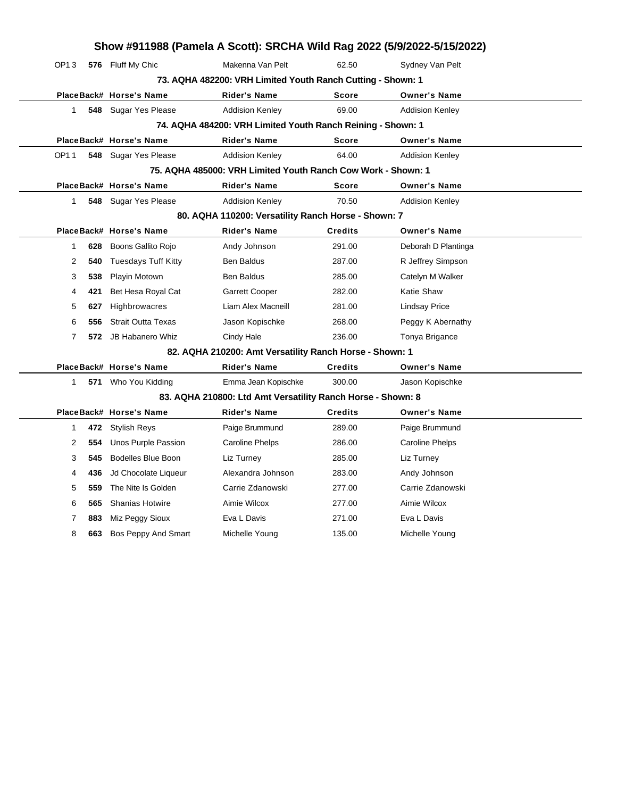| Show #911988 (Pamela A Scott): SRCHA Wild Rag 2022 (5/9/2022-5/15/2022) |                                                             |     |                            |                                                         |                |                        |  |  |  |
|-------------------------------------------------------------------------|-------------------------------------------------------------|-----|----------------------------|---------------------------------------------------------|----------------|------------------------|--|--|--|
|                                                                         | OP13                                                        |     | 576 Fluff My Chic          | Makenna Van Pelt                                        | 62.50          | Sydney Van Pelt        |  |  |  |
|                                                                         | 73. AQHA 482200: VRH Limited Youth Ranch Cutting - Shown: 1 |     |                            |                                                         |                |                        |  |  |  |
|                                                                         |                                                             |     | PlaceBack# Horse's Name    | <b>Rider's Name</b>                                     | Score          | <b>Owner's Name</b>    |  |  |  |
|                                                                         | $\mathbf{1}$                                                |     | 548 Sugar Yes Please       | <b>Addision Kenley</b>                                  | 69.00          | <b>Addision Kenley</b> |  |  |  |
|                                                                         | 74. AQHA 484200: VRH Limited Youth Ranch Reining - Shown: 1 |     |                            |                                                         |                |                        |  |  |  |
|                                                                         |                                                             |     | PlaceBack# Horse's Name    | <b>Rider's Name</b>                                     | Score          | <b>Owner's Name</b>    |  |  |  |
|                                                                         | OP11                                                        |     | 548 Sugar Yes Please       | <b>Addision Kenley</b>                                  | 64.00          | <b>Addision Kenley</b> |  |  |  |
| 75. AQHA 485000: VRH Limited Youth Ranch Cow Work - Shown: 1            |                                                             |     |                            |                                                         |                |                        |  |  |  |
|                                                                         |                                                             |     | PlaceBack# Horse's Name    | <b>Rider's Name</b>                                     | <b>Score</b>   | <b>Owner's Name</b>    |  |  |  |
|                                                                         | $\mathbf{1}$                                                |     | 548 Sugar Yes Please       | <b>Addision Kenley</b>                                  | 70.50          | <b>Addision Kenley</b> |  |  |  |
| 80. AQHA 110200: Versatility Ranch Horse - Shown: 7                     |                                                             |     |                            |                                                         |                |                        |  |  |  |
|                                                                         |                                                             |     | PlaceBack# Horse's Name    | <b>Rider's Name</b>                                     | <b>Credits</b> | <b>Owner's Name</b>    |  |  |  |
|                                                                         | $\mathbf{1}$                                                | 628 | Boons Gallito Rojo         | Andy Johnson                                            | 291.00         | Deborah D Plantinga    |  |  |  |
|                                                                         | 2                                                           | 540 | <b>Tuesdays Tuff Kitty</b> | <b>Ben Baldus</b>                                       | 287.00         | R Jeffrey Simpson      |  |  |  |
|                                                                         | 3                                                           | 538 | Playin Motown              | <b>Ben Baldus</b>                                       | 285.00         | Catelyn M Walker       |  |  |  |
|                                                                         | 4                                                           | 421 | Bet Hesa Royal Cat         | <b>Garrett Cooper</b>                                   | 282.00         | <b>Katie Shaw</b>      |  |  |  |
|                                                                         | 5                                                           | 627 | Highbrowacres              | Liam Alex Macneill                                      | 281.00         | <b>Lindsay Price</b>   |  |  |  |
|                                                                         | 6                                                           | 556 | <b>Strait Outta Texas</b>  | Jason Kopischke                                         | 268.00         | Peggy K Abernathy      |  |  |  |
|                                                                         | 7                                                           | 572 | JB Habanero Whiz           | Cindy Hale                                              | 236.00         | Tonya Brigance         |  |  |  |
|                                                                         |                                                             |     |                            | 82. AQHA 210200: Amt Versatility Ranch Horse - Shown: 1 |                |                        |  |  |  |
|                                                                         |                                                             |     | PlaceBack# Horse's Name    | <b>Rider's Name</b>                                     | <b>Credits</b> | <b>Owner's Name</b>    |  |  |  |
|                                                                         | $\mathbf{1}$                                                |     | 571 Who You Kidding        | Emma Jean Kopischke                                     | 300.00         | Jason Kopischke        |  |  |  |
|                                                                         | 83. AQHA 210800: Ltd Amt Versatility Ranch Horse - Shown: 8 |     |                            |                                                         |                |                        |  |  |  |
|                                                                         |                                                             |     | PlaceBack# Horse's Name    | <b>Rider's Name</b>                                     | <b>Credits</b> | <b>Owner's Name</b>    |  |  |  |
|                                                                         | 1                                                           | 472 | <b>Stylish Reys</b>        | Paige Brummund                                          | 289.00         | Paige Brummund         |  |  |  |
|                                                                         | 2                                                           | 554 | Unos Purple Passion        | <b>Caroline Phelps</b>                                  | 286.00         | <b>Caroline Phelps</b> |  |  |  |
|                                                                         | 3                                                           | 545 | <b>Bodelles Blue Boon</b>  | Liz Turney                                              | 285.00         | Liz Turney             |  |  |  |
|                                                                         | 4                                                           | 436 | Jd Chocolate Liqueur       | Alexandra Johnson                                       | 283.00         | Andy Johnson           |  |  |  |
|                                                                         | 5                                                           | 559 | The Nite Is Golden         | Carrie Zdanowski                                        | 277.00         | Carrie Zdanowski       |  |  |  |
|                                                                         | 6                                                           | 565 | <b>Shanias Hotwire</b>     | Aimie Wilcox                                            | 277.00         | Aimie Wilcox           |  |  |  |
|                                                                         | 7                                                           | 883 | Miz Peggy Sioux            | Eva L Davis                                             | 271.00         | Eva L Davis            |  |  |  |
|                                                                         | 8                                                           | 663 | Bos Peppy And Smart        | Michelle Young                                          | 135.00         | Michelle Young         |  |  |  |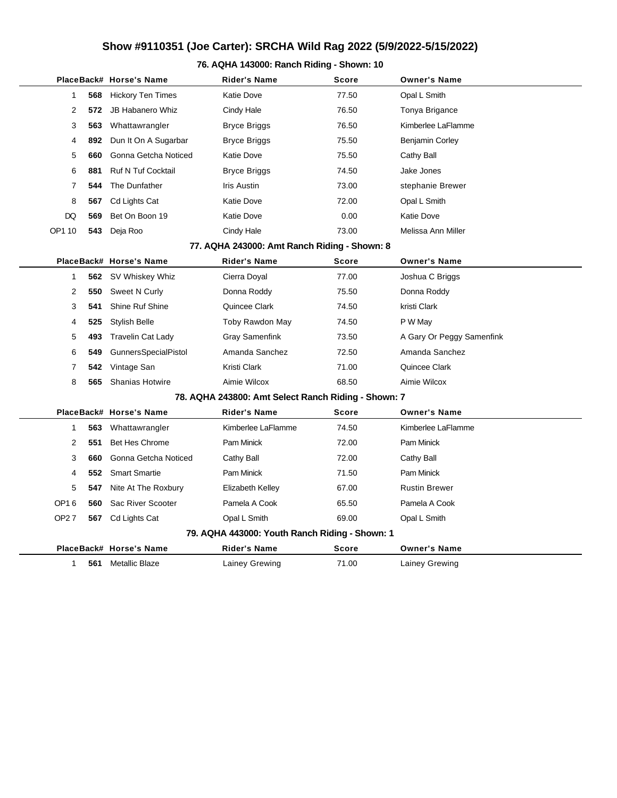## **Show #9110351 (Joe Carter): SRCHA Wild Rag 2022 (5/9/2022-5/15/2022)**

## **76. AQHA 143000: Ranch Riding - Shown: 10**

|                                                     |     | PlaceBack# Horse's Name     | <b>Rider's Name</b>   | Score        | <b>Owner's Name</b>       |  |  |  |  |
|-----------------------------------------------------|-----|-----------------------------|-----------------------|--------------|---------------------------|--|--|--|--|
| 1                                                   | 568 | <b>Hickory Ten Times</b>    | <b>Katie Dove</b>     | 77.50        | Opal L Smith              |  |  |  |  |
| 2                                                   | 572 | <b>JB Habanero Whiz</b>     | Cindy Hale            | 76.50        | Tonya Brigance            |  |  |  |  |
| 3                                                   | 563 | Whattawrangler              | <b>Bryce Briggs</b>   | 76.50        | Kimberlee LaFlamme        |  |  |  |  |
| 4                                                   | 892 | Dun It On A Sugarbar        | <b>Bryce Briggs</b>   | 75.50        | <b>Benjamin Corley</b>    |  |  |  |  |
| 5                                                   | 660 | Gonna Getcha Noticed        | <b>Katie Dove</b>     | 75.50        | Cathy Ball                |  |  |  |  |
| 6                                                   | 881 | <b>Ruf N Tuf Cocktail</b>   | <b>Bryce Briggs</b>   | 74.50        | Jake Jones                |  |  |  |  |
| 7                                                   | 544 | The Dunfather               | <b>Iris Austin</b>    | 73.00        | stephanie Brewer          |  |  |  |  |
| 8                                                   | 567 | Cd Lights Cat               | <b>Katie Dove</b>     | 72.00        | Opal L Smith              |  |  |  |  |
| DQ                                                  | 569 | Bet On Boon 19              | <b>Katie Dove</b>     | 0.00         | <b>Katie Dove</b>         |  |  |  |  |
| OP1 10                                              | 543 | Deja Roo                    | Cindy Hale            | 73.00        | Melissa Ann Miller        |  |  |  |  |
| 77. AQHA 243000: Amt Ranch Riding - Shown: 8        |     |                             |                       |              |                           |  |  |  |  |
|                                                     |     | PlaceBack# Horse's Name     | Rider's Name          | <b>Score</b> | <b>Owner's Name</b>       |  |  |  |  |
| 1                                                   | 562 | SV Whiskey Whiz             | Cierra Doyal          | 77.00        | Joshua C Briggs           |  |  |  |  |
| 2                                                   | 550 | Sweet N Curly               | Donna Roddy           | 75.50        | Donna Roddy               |  |  |  |  |
| 3                                                   | 541 | Shine Ruf Shine             | Quincee Clark         | 74.50        | kristi Clark              |  |  |  |  |
| 4                                                   | 525 | <b>Stylish Belle</b>        | Toby Rawdon May       | 74.50        | P W May                   |  |  |  |  |
| 5                                                   | 493 | <b>Travelin Cat Lady</b>    | <b>Gray Samenfink</b> | 73.50        | A Gary Or Peggy Samenfink |  |  |  |  |
| 6                                                   | 549 | <b>GunnersSpecialPistol</b> | Amanda Sanchez        | 72.50        | Amanda Sanchez            |  |  |  |  |
| 7                                                   | 542 | Vintage San                 | Kristi Clark          | 71.00        | Quincee Clark             |  |  |  |  |
| 8                                                   | 565 | <b>Shanias Hotwire</b>      | Aimie Wilcox          | 68.50        | Aimie Wilcox              |  |  |  |  |
| 78. AQHA 243800: Amt Select Ranch Riding - Shown: 7 |     |                             |                       |              |                           |  |  |  |  |
|                                                     |     | PlaceBack# Horse's Name     | Rider's Name          | Score        | <b>Owner's Name</b>       |  |  |  |  |
| 1                                                   | 563 | Whattawrangler              | Kimberlee LaFlamme    | 74.50        | Kimberlee LaFlamme        |  |  |  |  |
| 2                                                   | 551 | <b>Bet Hes Chrome</b>       | <b>Pam Minick</b>     | 72.00        | <b>Pam Minick</b>         |  |  |  |  |
| 3                                                   | 660 | Gonna Getcha Noticed        | Cathy Ball            | 72.00        | Cathy Ball                |  |  |  |  |
| 4                                                   | 552 | <b>Smart Smartie</b>        | Pam Minick            | 71.50        | <b>Pam Minick</b>         |  |  |  |  |
| 5                                                   | 547 | Nite At The Roxbury         | Elizabeth Kelley      | 67.00        | <b>Rustin Brewer</b>      |  |  |  |  |
| OP16                                                | 560 | Sac River Scooter           | Pamela A Cook         | 65.50        | Pamela A Cook             |  |  |  |  |
| OP27                                                | 567 | Cd Lights Cat               | Opal L Smith          | 69.00        | Opal L Smith              |  |  |  |  |
| 79. AQHA 443000: Youth Ranch Riding - Shown: 1      |     |                             |                       |              |                           |  |  |  |  |
|                                                     |     | PlaceBack# Horse's Name     | Rider's Name          | <b>Score</b> | <b>Owner's Name</b>       |  |  |  |  |
| 1                                                   | 561 | <b>Metallic Blaze</b>       | Lainey Grewing        | 71.00        | Lainey Grewing            |  |  |  |  |